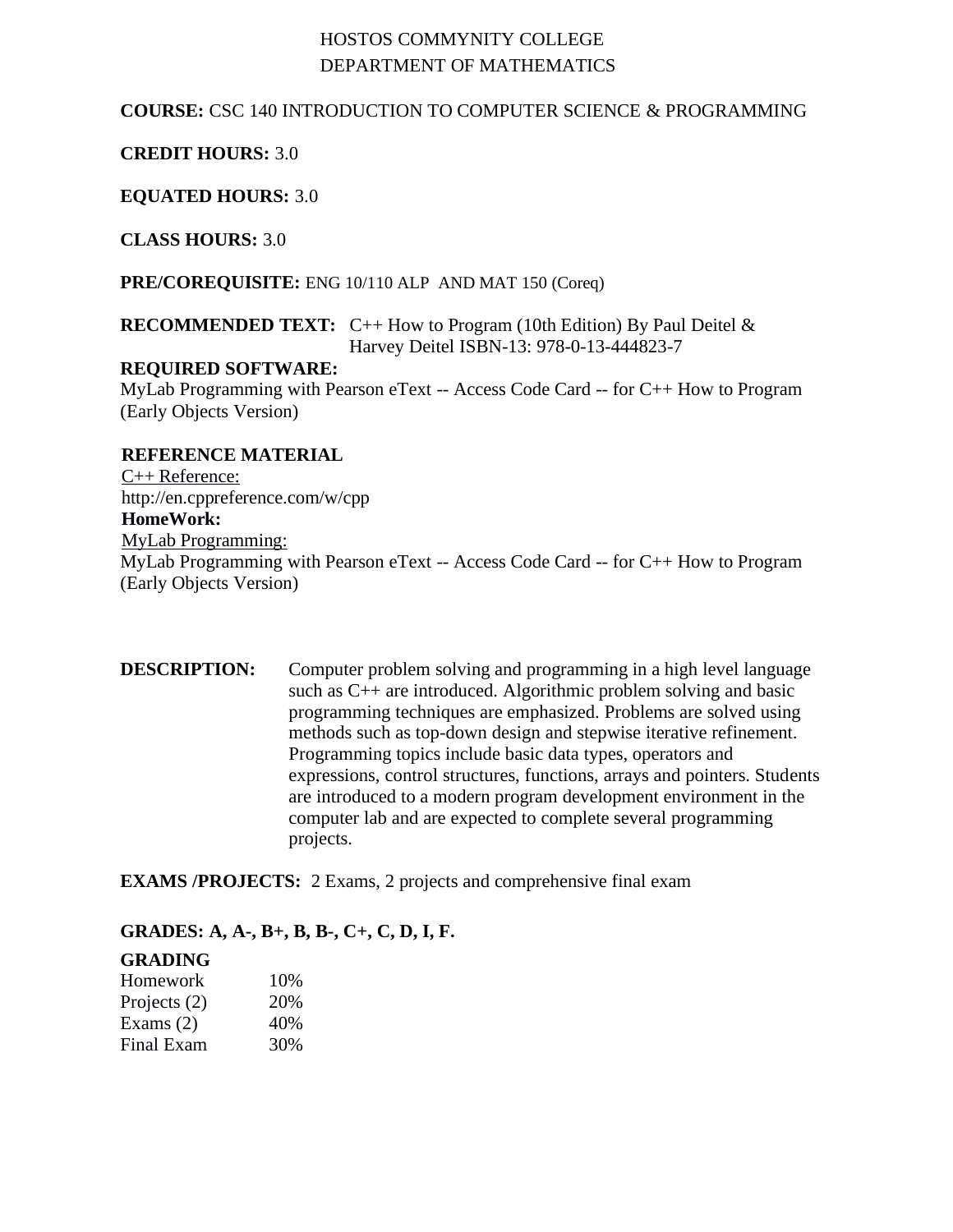# HOSTOS COMMYNITY COLLEGE DEPARTMENT OF MATHEMATICS

## **COURSE:** CSC 140 INTRODUCTION TO COMPUTER SCIENCE & PROGRAMMING

## **CREDIT HOURS:** 3.0

**EQUATED HOURS:** 3.0

**CLASS HOURS:** 3.0

**PRE/COREQUISITE:** ENG 10/110 ALP AND MAT 150 (Coreq)

#### **RECOMMENDED TEXT:** C++ How to Program (10th Edition) By Paul Deitel & Harvey Deitel ISBN-13: 978-0-13-444823-7

#### **REQUIRED SOFTWARE:**

MyLab Programming with Pearson eText -- Access Code Card -- for C++ How to Program (Early Objects Version)

## **REFERENCE MATERIAL**

C++ Reference: <http://en.cppreference.com/w/cpp> **HomeWork:** MyLab Programming: MyLab Programming with Pearson eText -- Access Code Card -- for C++ How to Program (Early Objects Version)

## **DESCRIPTION:** Computer problem solving and programming in a high level language such as C++ are introduced. Algorithmic problem solving and basic programming techniques are emphasized. Problems are solved using methods such as top-down design and stepwise iterative refinement. Programming topics include basic data types, operators and expressions, control structures, functions, arrays and pointers. Students are introduced to a modern program development environment in the computer lab and are expected to complete several programming projects.

**EXAMS /PROJECTS:** 2 Exams, 2 projects and comprehensive final exam

#### **GRADES: A, A-, B+, B, B-, C+, C, D, I, F.**

#### **GRADING**

| Homework     | 10\% |
|--------------|------|
| Projects (2) | 20%  |
| Exams $(2)$  | 40%  |
| Final Exam   | 30%  |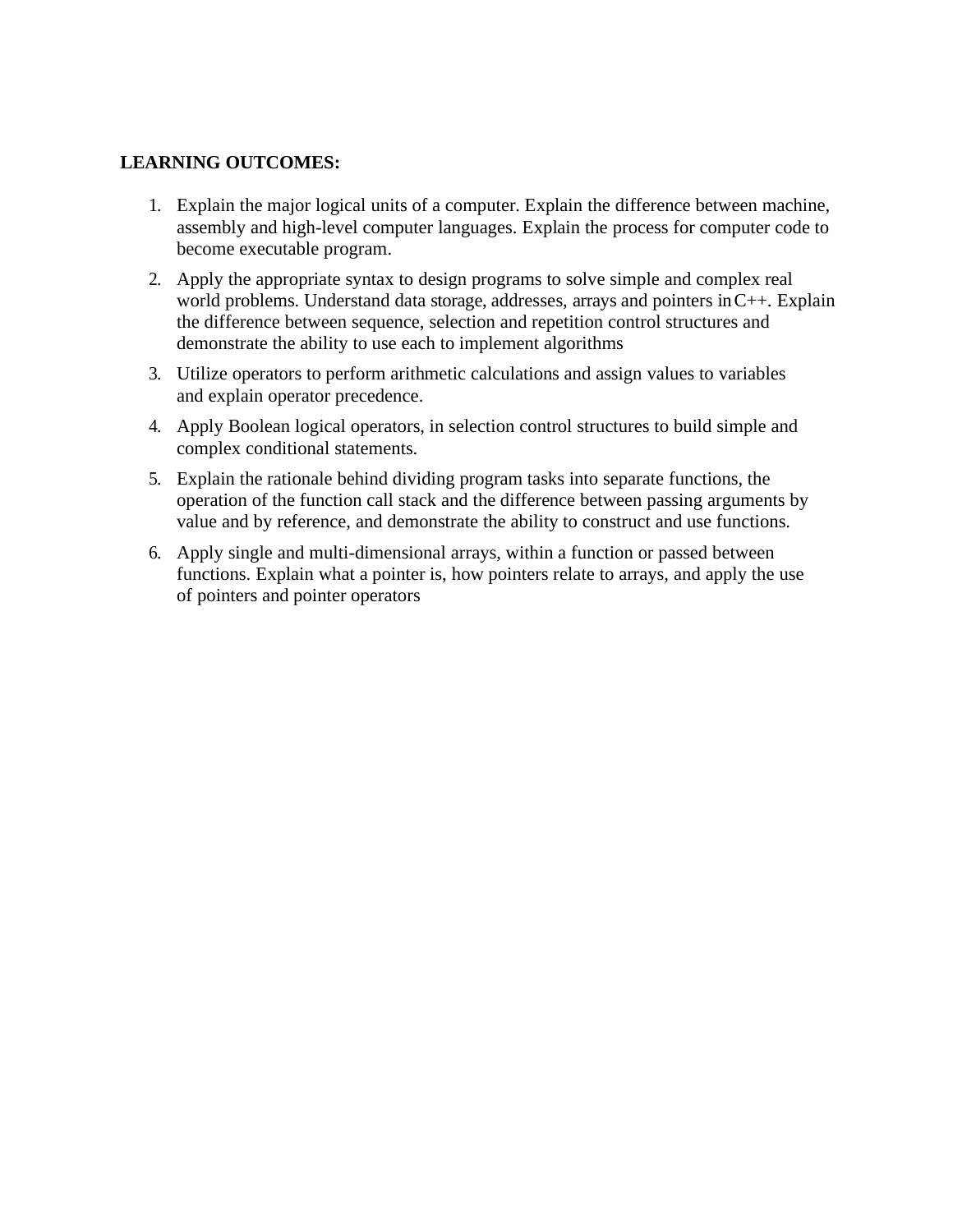### **LEARNING OUTCOMES:**

- 1. Explain the major logical units of a computer. Explain the difference between machine, assembly and high-level computer languages. Explain the process for computer code to become executable program.
- 2. Apply the appropriate syntax to design programs to solve simple and complex real world problems. Understand data storage, addresses, arrays and pointers in C++. Explain the difference between sequence, selection and repetition control structures and demonstrate the ability to use each to implement algorithms
- 3. Utilize operators to perform arithmetic calculations and assign values to variables and explain operator precedence.
- 4. Apply Boolean logical operators, in selection control structures to build simple and complex conditional statements.
- 5. Explain the rationale behind dividing program tasks into separate functions, the operation of the function call stack and the difference between passing arguments by value and by reference, and demonstrate the ability to construct and use functions.
- 6. Apply single and multi-dimensional arrays, within a function or passed between functions. Explain what a pointer is, how pointers relate to arrays, and apply the use of pointers and pointer operators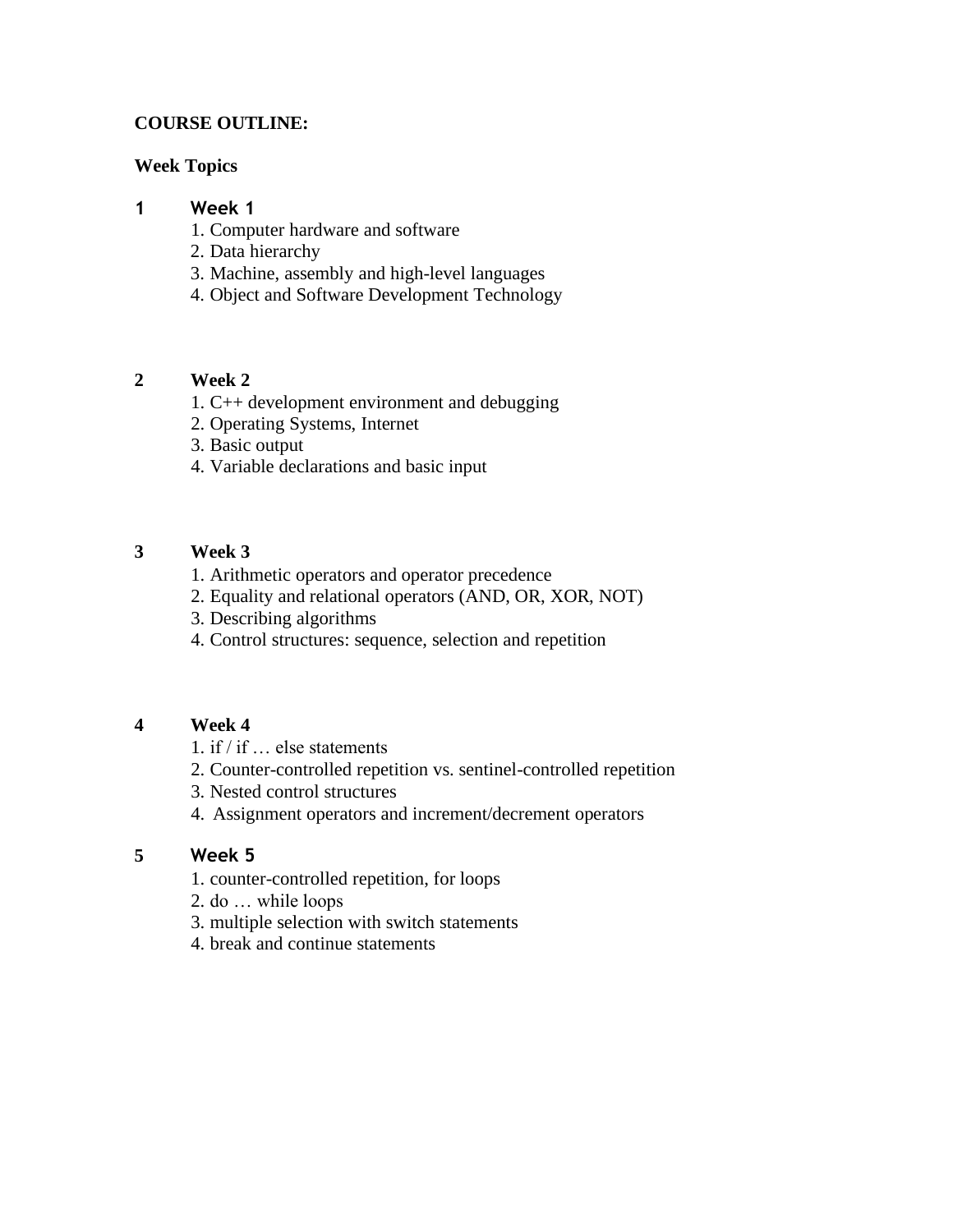## **COURSE OUTLINE:**

#### **Week Topics**

### **1 Week 1**

- 1. Computer hardware and software
- 2. Data hierarchy
- 3. Machine, assembly and high-level languages
- 4. Object and Software Development Technology

### **2 Week 2**

- 1. C++ development environment and debugging
- 2. Operating Systems, Internet
- 3. Basic output
- 4. Variable declarations and basic input

### **3 Week 3**

- 1. Arithmetic operators and operator precedence
- 2. Equality and relational operators (AND, OR, XOR, NOT)
- 3. Describing algorithms
- 4. Control structures: sequence, selection and repetition

#### **4 Week 4**

- 1. if / if … else statements
- 2. Counter-controlled repetition vs. sentinel-controlled repetition
- 3. Nested control structures
- 4. Assignment operators and increment/decrement operators

#### **5 Week 5**

- 1. counter-controlled repetition, for loops
- 2. do … while loops
- 3. multiple selection with switch statements
- 4. break and continue statements